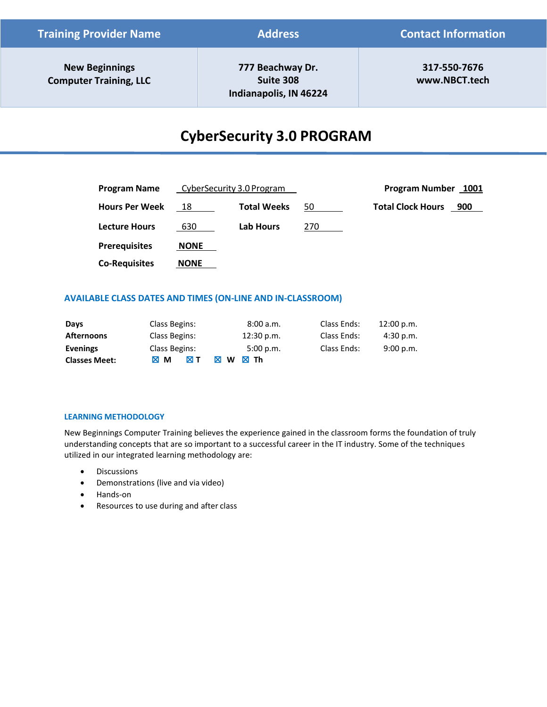| <b>Training Provider Name</b>                          | <b>Address</b>                                          | <b>Contact Information</b>    |  |
|--------------------------------------------------------|---------------------------------------------------------|-------------------------------|--|
| <b>New Beginnings</b><br><b>Computer Training, LLC</b> | 777 Beachway Dr.<br>Suite 308<br>Indianapolis, IN 46224 | 317-550-7676<br>www.NBCT.tech |  |

# **CyberSecurity 3.0 PROGRAM**

| Program Name          | CyberSecurity 3.0 Program |                    |     | Program Number 1001             |
|-----------------------|---------------------------|--------------------|-----|---------------------------------|
| <b>Hours Per Week</b> | 18                        | <b>Total Weeks</b> | 50  | <b>Total Clock Hours</b><br>900 |
| <b>Lecture Hours</b>  | 630                       | <b>Lab Hours</b>   | 270 |                                 |
| <b>Prerequisites</b>  | <b>NONE</b>               |                    |     |                                 |
| <b>Co-Requisites</b>  | <b>NONE</b>               |                    |     |                                 |

# **AVAILABLE CLASS DATES AND TIMES (ON-LINE AND IN-CLASSROOM)**

| Days                 | Class Begins:           | 8:00 a.m.        | Class Ends: | 12:00 p.m. |
|----------------------|-------------------------|------------------|-------------|------------|
| <b>Afternoons</b>    | Class Begins:           | 12:30 p.m.       | Class Ends: | 4:30 p.m.  |
| <b>Evenings</b>      | Class Begins:           | 5:00 p.m.        | Class Ends: | 9:00 p.m.  |
| <b>Classes Meet:</b> | ⊠ т<br>$M$ M<br>Iх<br>W | - Th<br><b>x</b> |             |            |

# **LEARNING METHODOLOGY**

New Beginnings Computer Training believes the experience gained in the classroom forms the foundation of truly understanding concepts that are so important to a successful career in the IT industry. Some of the techniques utilized in our integrated learning methodology are:

- Discussions
- Demonstrations (live and via video)
- Hands-on
- Resources to use during and after class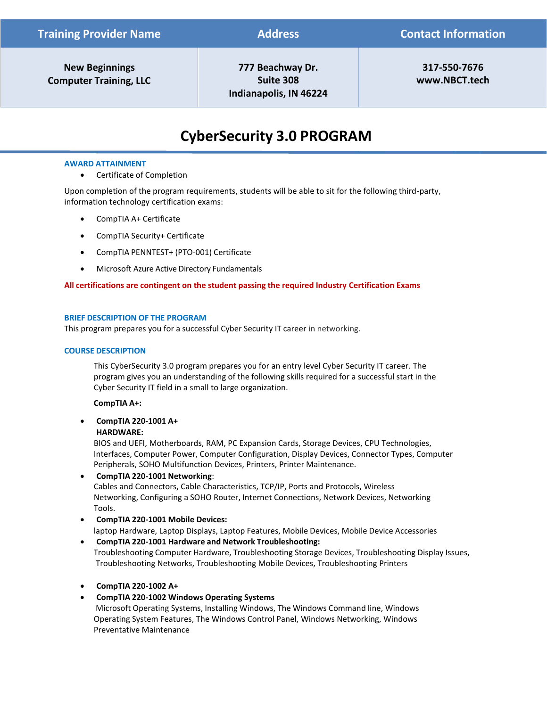| <b>New Beginnings</b>         |  |
|-------------------------------|--|
| <b>Computer Training, LLC</b> |  |

**777 Beachway Dr. Suite 308 Indianapolis, IN 46224** 

**317-550-7676 [www.NBCT.tech](http://www.nbct.tech/)** 

# **CyberSecurity 3.0 PROGRAM**

### **AWARD ATTAINMENT**

• Certificate of Completion

Upon completion of the program requirements, students will be able to sit for the following third-party, information technology certification exams:

- CompTIA A+ Certificate
- CompTIA Security+ Certificate
- CompTIA PENNTEST+ (PTO-001) Certificate
- Microsoft Azure Active Directory Fundamentals

### **All certifications are contingent on the student passing the required Industry Certification Exams**

#### **BRIEF DESCRIPTION OF THE PROGRAM**

This program prepares you for a successful Cyber Security IT career in networking.

#### **COURSE DESCRIPTION**

This CyberSecurity 3.0 program prepares you for an entry level Cyber Security IT career. The program gives you an understanding of the following skills required for a successful start in the Cyber Security IT field in a small to large organization.

#### **CompTIA A+:**

• **CompTIA 220-1001 A+**

#### **HARDWARE:**

BIOS and UEFI, Motherboards, RAM, PC Expansion Cards, Storage Devices, CPU Technologies, Interfaces, Computer Power, Computer Configuration, Display Devices, Connector Types, Computer Peripherals, SOHO Multifunction Devices, Printers, Printer Maintenance.

• **CompTIA 220-1001 Networking**: Cables and Connectors, Cable Characteristics, TCP/IP, Ports and Protocols, Wireless Networking, Configuring a SOHO Router, Internet Connections, Network Devices, Networking Tools.

- **CompTIA 220-1001 Mobile Devices:** laptop Hardware, Laptop Displays, Laptop Features, Mobile Devices, Mobile Device Accessories
- **CompTIA 220-1001 Hardware and Network Troubleshooting:** Troubleshooting Computer Hardware, Troubleshooting Storage Devices, Troubleshooting Display Issues, Troubleshooting Networks, Troubleshooting Mobile Devices, Troubleshooting Printers
- **CompTIA 220-1002 A+**
- **CompTIA 220-1002 Windows Operating Systems**

Microsoft Operating Systems, Installing Windows, The Windows Command line, Windows Operating System Features, The Windows Control Panel, Windows Networking, Windows Preventative Maintenance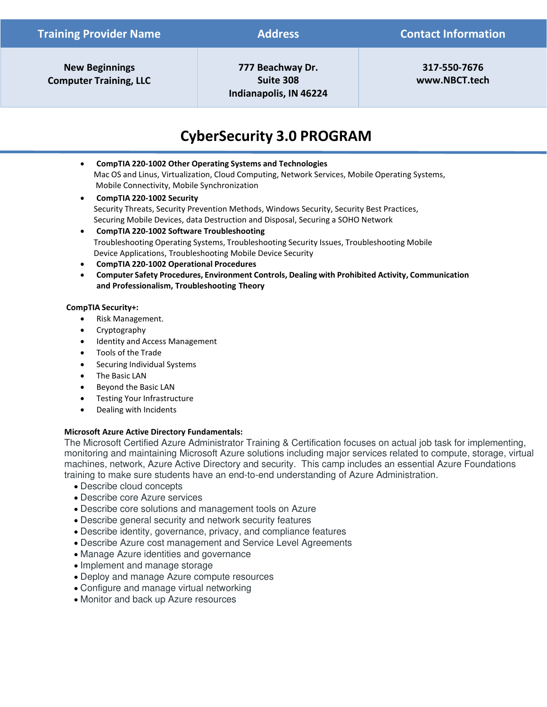**777 Beachway Dr. Suite 308 Indianapolis, IN 46224** 

**317-550-7676 [www.NBCT.tech](http://www.nbct.tech/)** 

# **CyberSecurity 3.0 PROGRAM**

- **CompTIA 220-1002 Other Operating Systems and Technologies** Mac OS and Linus, Virtualization, Cloud Computing, Network Services, Mobile Operating Systems, Mobile Connectivity, Mobile Synchronization
- **CompTIA 220-1002 Security** Security Threats, Security Prevention Methods, Windows Security, Security Best Practices, Securing Mobile Devices, data Destruction and Disposal, Securing a SOHO Network
- **CompTIA 220-1002 Software Troubleshooting** Troubleshooting Operating Systems, Troubleshooting Security Issues, Troubleshooting Mobile Device Applications, Troubleshooting Mobile Device Security
- **CompTIA 220-1002 Operational Procedures**
- **Computer Safety Procedures, Environment Controls, Dealing with Prohibited Activity, Communication and Professionalism, Troubleshooting Theory**

# **CompTIA Security+:**

- Risk Management.
- Cryptography
- Identity and Access Management
- Tools of the Trade
- Securing Individual Systems
- The Basic LAN
- Beyond the Basic LAN
- Testing Your Infrastructure
- Dealing with Incidents

# **Microsoft Azure Active Directory Fundamentals:**

The Microsoft Certified Azure Administrator Training & Certification focuses on actual job task for implementing, monitoring and maintaining Microsoft Azure solutions including major services related to compute, storage, virtual machines, network, Azure Active Directory and security. This camp includes an essential Azure Foundations training to make sure students have an end-to-end understanding of Azure Administration.

- Describe cloud concepts
- Describe core Azure services
- Describe core solutions and management tools on Azure
- Describe general security and network security features
- Describe identity, governance, privacy, and compliance features
- Describe Azure cost management and Service Level Agreements
- Manage Azure identities and governance
- Implement and manage storage
- Deploy and manage Azure compute resources
- Configure and manage virtual networking
- Monitor and back up Azure resources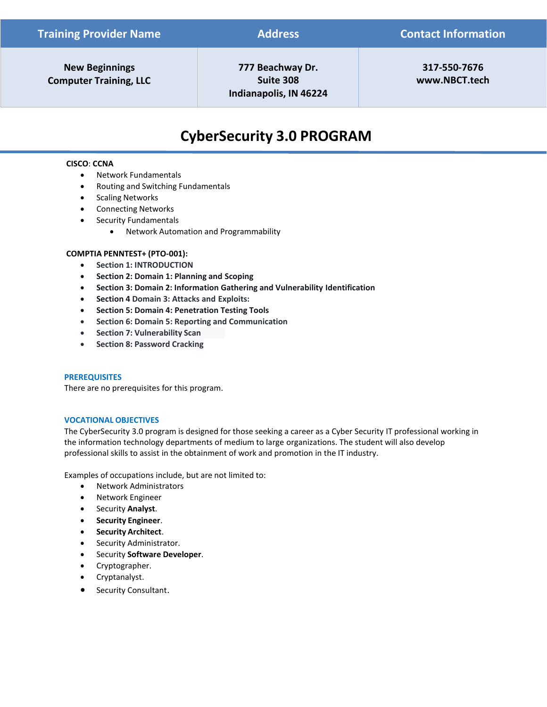**777 Beachway Dr. Suite 308 Indianapolis, IN 46224** 

**317-550-7676 [www.NBCT.tech](http://www.nbct.tech/)** 

# **CyberSecurity 3.0 PROGRAM**

# **CISCO**: **CCNA**

- Network Fundamentals
- Routing and Switching Fundamentals
- Scaling Networks
- Connecting Networks
- Security Fundamentals
	- Network Automation and Programmability

### **COMPTIA PENNTEST+ (PTO-001):**

- **Section 1: INTRODUCTION**
- **Section 2: Domain 1: Planning and Scoping**
- **Section 3: Domain 2: Information Gathering and Vulnerability Identification**
- **Section 4 Domain 3: Attacks and Exploits:**
- **Section 5: Domain 4: Penetration Testing Tools**
- **Section 6: Domain 5: Reporting and Communication**
- **Section 7: Vulnerability Scan**
- **Section 8: Password Cracking**

### **PREREQUISITES**

There are no prerequisites for this program.

#### **VOCATIONAL OBJECTIVES**

The CyberSecurity 3.0 program is designed for those seeking a career as a Cyber Security IT professional working in the information technology departments of medium to large organizations. The student will also develop professional skills to assist in the obtainment of work and promotion in the IT industry.

Examples of occupations include, but are not limited to:

- Network Administrators
- Network Engineer
- Security **Analyst**.
- **Security Engineer**.
- **Security Architect**.
- Security Administrator.
- Security **Software Developer**.
- Cryptographer.
- Cryptanalyst.
- Security Consultant.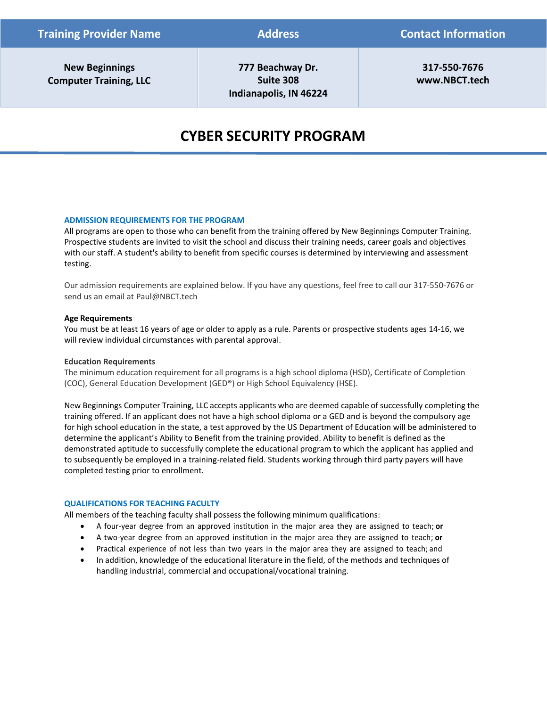**777 Beachway Dr. Suite 308 Indianapolis, IN 46224** 

**317-550-7676 [www.NBCT.tech](http://www.nbct.tech/)** 

# **CYBER SECURITY PROGRAM**

### **ADMISSION REQUIREMENTS FOR THE PROGRAM**

All programs are open to those who can benefit from the training offered by New Beginnings Computer Training. Prospective students are invited to visit the school and discuss their training needs, career goals and objectives with our staff. A student's ability to benefit from specific courses is determined by interviewing and assessment testing.

Our admission requirements are explained below. If you have any questions, feel free to call our 317-550-7676 or send us an email a[t Paul@NBCT.tech](mailto:Paul@NBCT.tech)

#### **Age Requirements**

You must be at least 16 years of age or older to apply as a rule. Parents or prospective students ages 14-16, we will review individual circumstances with parental approval.

#### **Education Requirements**

The minimum education requirement for all programs is a high school diploma (HSD), Certificate of Completion (COC), General Education Development (GED®) or High School Equivalency (HSE).

New Beginnings Computer Training, LLC accepts applicants who are deemed capable of successfully completing the training offered. If an applicant does not have a high school diploma or a GED and is beyond the compulsory age for high school education in the state, a test approved by the US Department of Education will be administered to determine the applicant's Ability to Benefit from the training provided. Ability to benefit is defined as the demonstrated aptitude to successfully complete the educational program to which the applicant has applied and to subsequently be employed in a training-related field. Students working through third party payers will have completed testing prior to enrollment.

#### **QUALIFICATIONS FOR TEACHING FACULTY**

All members of the teaching faculty shall possess the following minimum qualifications:

- A four-year degree from an approved institution in the major area they are assigned to teach; **or**
- A two-year degree from an approved institution in the major area they are assigned to teach; **or**
- Practical experience of not less than two years in the major area they are assigned to teach; and
- In addition, knowledge of the educational literature in the field, of the methods and techniques of handling industrial, commercial and occupational/vocational training.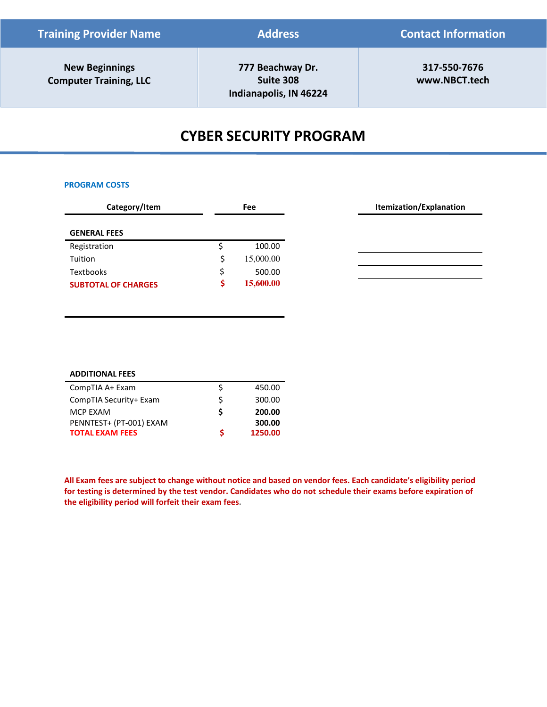| <b>Training Provider Name</b>                          | <b>Address</b>                                          | <b>Contact Information</b>    |  |
|--------------------------------------------------------|---------------------------------------------------------|-------------------------------|--|
| <b>New Beginnings</b><br><b>Computer Training, LLC</b> | 777 Beachway Dr.<br>Suite 308<br>Indianapolis, IN 46224 | 317-550-7676<br>www.NBCT.tech |  |

# **CYBER SECURITY PROGRAM**

#### **PROGRAM COSTS**

| Category/Item              | Fee          |
|----------------------------|--------------|
|                            |              |
| <b>GENERAL FEES</b>        |              |
| Registration               | 100.00       |
| Tuition                    | 15,000.00    |
| <b>Textbooks</b>           | \$<br>500.00 |
| <b>SUBTOTAL OF CHARGES</b> | 15,600.00    |

| <b>ADDITIONAL FEES</b>  |   |         |
|-------------------------|---|---------|
| CompTIA A+ Exam         | S | 450.00  |
| CompTIA Security+ Exam  | Ś | 300.00  |
| MCP EXAM                | S | 200.00  |
| PENNTEST+ (PT-001) EXAM |   | 300.00  |
| <b>TOTAL EXAM FEES</b>  | Ś | 1250.00 |

**All Exam fees are subject to change without notice and based on vendor fees. Each candidate's eligibility period for testing is determined by the test vendor. Candidates who do not schedule their exams before expiration of the eligibility period will forfeit their exam fees.**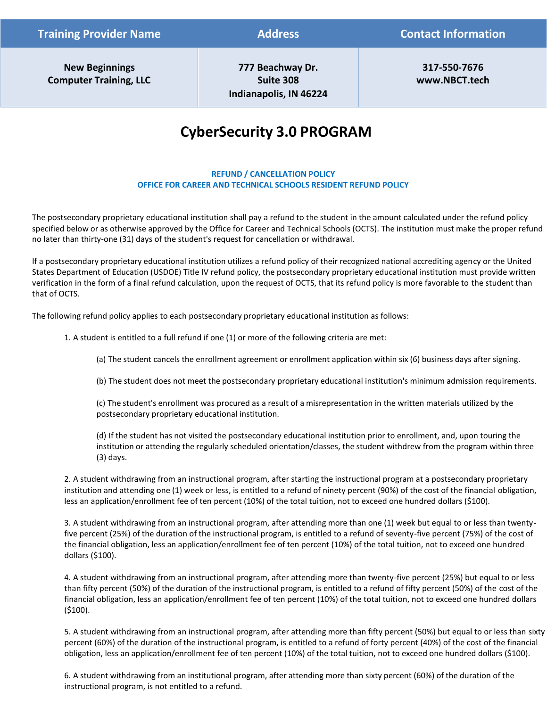**777 Beachway Dr. Suite 308 Indianapolis, IN 46224** 

**317-550-7676 [www.NBCT.tech](http://www.nbct.tech/)** 

# **CyberSecurity 3.0 PROGRAM**

# **REFUND / CANCELLATION POLICY OFFICE FOR CAREER AND TECHNICAL SCHOOLS RESIDENT REFUND POLICY**

The postsecondary proprietary educational institution shall pay a refund to the student in the amount calculated under the refund policy specified below or as otherwise approved by the Office for Career and Technical Schools (OCTS). The institution must make the proper refund no later than thirty-one (31) days of the student's request for cancellation or withdrawal.

If a postsecondary proprietary educational institution utilizes a refund policy of their recognized national accrediting agency or the United States Department of Education (USDOE) Title IV refund policy, the postsecondary proprietary educational institution must provide written verification in the form of a final refund calculation, upon the request of OCTS, that its refund policy is more favorable to the student than that of OCTS.

The following refund policy applies to each postsecondary proprietary educational institution as follows:

1. A student is entitled to a full refund if one (1) or more of the following criteria are met:

(a) The student cancels the enrollment agreement or enrollment application within six (6) business days after signing.

(b) The student does not meet the postsecondary proprietary educational institution's minimum admission requirements.

(c) The student's enrollment was procured as a result of a misrepresentation in the written materials utilized by the postsecondary proprietary educational institution.

(d) If the student has not visited the postsecondary educational institution prior to enrollment, and, upon touring the institution or attending the regularly scheduled orientation/classes, the student withdrew from the program within three (3) days.

2. A student withdrawing from an instructional program, after starting the instructional program at a postsecondary proprietary institution and attending one (1) week or less, is entitled to a refund of ninety percent (90%) of the cost of the financial obligation, less an application/enrollment fee of ten percent (10%) of the total tuition, not to exceed one hundred dollars (\$100).

3. A student withdrawing from an instructional program, after attending more than one (1) week but equal to or less than twentyfive percent (25%) of the duration of the instructional program, is entitled to a refund of seventy-five percent (75%) of the cost of the financial obligation, less an application/enrollment fee of ten percent (10%) of the total tuition, not to exceed one hundred dollars (\$100).

4. A student withdrawing from an instructional program, after attending more than twenty-five percent (25%) but equal to or less than fifty percent (50%) of the duration of the instructional program, is entitled to a refund of fifty percent (50%) of the cost of the financial obligation, less an application/enrollment fee of ten percent (10%) of the total tuition, not to exceed one hundred dollars (\$100).

5. A student withdrawing from an instructional program, after attending more than fifty percent (50%) but equal to or less than sixty percent (60%) of the duration of the instructional program, is entitled to a refund of forty percent (40%) of the cost of the financial obligation, less an application/enrollment fee of ten percent (10%) of the total tuition, not to exceed one hundred dollars (\$100).

6. A student withdrawing from an institutional program, after attending more than sixty percent (60%) of the duration of the instructional program, is not entitled to a refund.